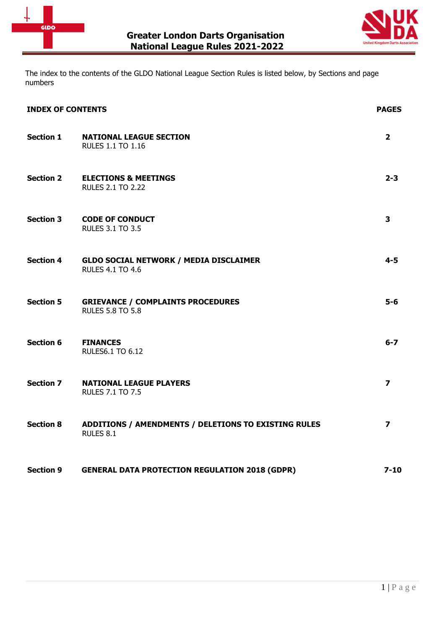



The index to the contents of the GLDO National League Section Rules is listed below, by Sections and page numbers

| <b>INDEX OF CONTENTS</b> |                                                                          | <b>PAGES</b>            |
|--------------------------|--------------------------------------------------------------------------|-------------------------|
| <b>Section 1</b>         | <b>NATIONAL LEAGUE SECTION</b><br><b>RULES 1.1 TO 1.16</b>               | $\mathbf{2}$            |
| <b>Section 2</b>         | <b>ELECTIONS &amp; MEETINGS</b><br><b>RULES 2.1 TO 2.22</b>              | $2 - 3$                 |
| <b>Section 3</b>         | <b>CODE OF CONDUCT</b><br><b>RULES 3.1 TO 3.5</b>                        | $\overline{\mathbf{3}}$ |
| <b>Section 4</b>         | <b>GLDO SOCIAL NETWORK / MEDIA DISCLAIMER</b><br><b>RULES 4.1 TO 4.6</b> | $4 - 5$                 |
| <b>Section 5</b>         | <b>GRIEVANCE / COMPLAINTS PROCEDURES</b><br><b>RULES 5.8 TO 5.8</b>      | $5-6$                   |
| <b>Section 6</b>         | <b>FINANCES</b><br><b>RULES6.1 TO 6.12</b>                               | $6 - 7$                 |
| <b>Section 7</b>         | <b>NATIONAL LEAGUE PLAYERS</b><br><b>RULES 7.1 TO 7.5</b>                | $\overline{\mathbf{z}}$ |
| <b>Section 8</b>         | ADDITIONS / AMENDMENTS / DELETIONS TO EXISTING RULES<br>RULES 8.1        | $\overline{\mathbf{z}}$ |
| <b>Section 9</b>         | <b>GENERAL DATA PROTECTION REGULATION 2018 (GDPR)</b>                    | $7 - 10$                |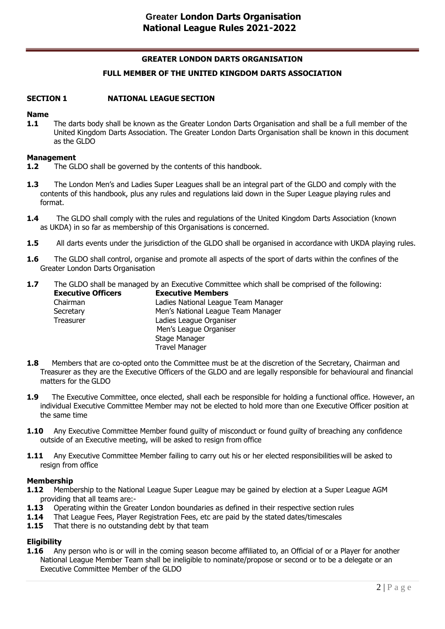# **GREATER LONDON DARTS ORGANISATION FULL MEMBER OF THE UNITED KINGDOM DARTS ASSOCIATION**

#### **SECTION 1 NATIONAL LEAGUE SECTION**

#### **Name**

**1.1** The darts body shall be known as the Greater London Darts Organisation and shall be a full member of the United Kingdom Darts Association. The Greater London Darts Organisation shall be known in this document as the GLDO

#### **Management**

- **1.2** The GLDO shall be governed by the contents of this handbook.
- **1.3** The London Men's and Ladies Super Leagues shall be an integral part of the GLDO and comply with the contents of this handbook, plus any rules and regulations laid down in the Super League playing rules and format.
- **1.4** The GLDO shall comply with the rules and regulations of the United Kingdom Darts Association (known as UKDA) in so far as membership of this Organisations is concerned.
- **1.5** All darts events under the jurisdiction of the GLDO shall be organised in accordance with UKDA playing rules.
- **1.6** The GLDO shall control, organise and promote all aspects of the sport of darts within the confines of the Greater London Darts Organisation
- **1.7** The GLDO shall be managed by an Executive Committee which shall be comprised of the following:

| <b>Executive Officers</b> | <b>Executive Members</b>            |
|---------------------------|-------------------------------------|
| Chairman                  | Ladies National League Team Manager |
| Secretary                 | Men's National League Team Manager  |
| Treasurer                 | Ladies League Organiser             |
|                           | Men's League Organiser              |
|                           | Stage Manager                       |
|                           | <b>Travel Manager</b>               |

- **1.8** Members that are co-opted onto the Committee must be at the discretion of the Secretary, Chairman and Treasurer as they are the Executive Officers of the GLDO and are legally responsible for behavioural and financial matters for the GLDO
- **1.9** The Executive Committee, once elected, shall each be responsible for holding a functional office. However, an individual Executive Committee Member may not be elected to hold more than one Executive Officer position at the same time
- **1.10** Any Executive Committee Member found quilty of misconduct or found quilty of breaching any confidence outside of an Executive meeting, will be asked to resign from office
- **1.11** Any Executive Committee Member failing to carry out his or her elected responsibilities will be asked to resign from office

#### **Membership**

- **1.12** Membership to the National League Super League may be gained by election at a Super League AGM providing that all teams are:-
- **1.13** Operating within the Greater London boundaries as defined in their respective section rules
- **1.14** That League Fees, Player Registration Fees, etc are paid by the stated dates/timescales
- **1.15** That there is no outstanding debt by that team

# **Eligibility**

**1.16** Any person who is or will in the coming season become affiliated to, an Official of or a Player for another National League Member Team shall be ineligible to nominate/propose or second or to be a delegate or an Executive Committee Member of the GLDO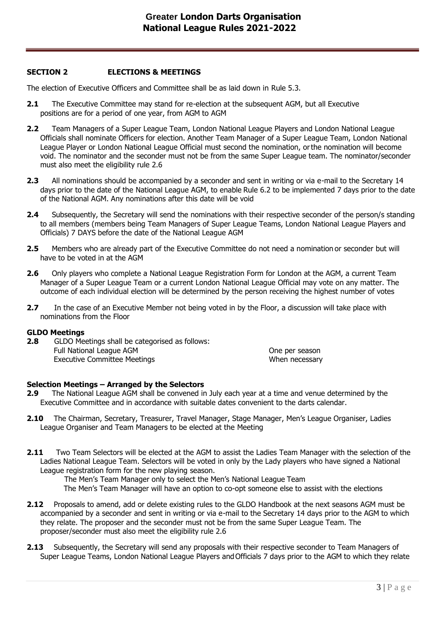### **SECTION 2 ELECTIONS & MEETINGS**

The election of Executive Officers and Committee shall be as laid down in Rule 5.3.

- **2.1** The Executive Committee may stand for re-election at the subsequent AGM, but all Executive positions are for a period of one year, from AGM to AGM
- **2.2** Team Managers of a Super League Team, London National League Players and London National League Officials shall nominate Officers for election. Another Team Manager of a Super League Team, London National League Player or London National League Official must second the nomination, orthe nomination will become void. The nominator and the seconder must not be from the same Super League team. The nominator/seconder must also meet the eligibility rule 2.6
- **2.3** All nominations should be accompanied by a seconder and sent in writing or via e-mail to the Secretary 14 days prior to the date of the National League AGM, to enable Rule 6.2 to be implemented 7 days prior to the date of the National AGM. Any nominations after this date will be void
- **2.4** Subsequently, the Secretary will send the nominations with their respective seconder of the person/s standing to all members (members being Team Managers of Super League Teams, London National League Players and Officials) 7 DAYS before the date of the National League AGM
- **2.5** Members who are already part of the Executive Committee do not need a nomination or seconder but will have to be voted in at the AGM
- **2.6** Only players who complete a National League Registration Form for London at the AGM, a current Team Manager of a Super League Team or a current London National League Official may vote on any matter. The outcome of each individual election will be determined by the person receiving the highest number of votes
- **2.7** In the case of an Executive Member not being voted in by the Floor, a discussion will take place with nominations from the Floor

#### **GLDO Meetings**

**2.8** GLDO Meetings shall be categorised as follows: Full National League AGM **CONFIRM CONFIRM CONTINUITY** One per season Executive Committee Meetings When necessary

#### **Selection Meetings – Arranged by the Selectors**

- **2.9** The National League AGM shall be convened in July each year at a time and venue determined by the Executive Committee and in accordance with suitable dates convenient to the darts calendar.
- **2.10** The Chairman, Secretary, Treasurer, Travel Manager, Stage Manager, Men's League Organiser, Ladies League Organiser and Team Managers to be elected at the Meeting
- **2.11** Two Team Selectors will be elected at the AGM to assist the Ladies Team Manager with the selection of the Ladies National League Team. Selectors will be voted in only by the Lady players who have signed a National League registration form for the new playing season.

The Men's Team Manager only to select the Men's National League Team The Men's Team Manager will have an option to co-opt someone else to assist with the elections

- **2.12** Proposals to amend, add or delete existing rules to the GLDO Handbook at the next seasons AGM must be accompanied by a seconder and sent in writing or via e-mail to the Secretary 14 days prior to the AGM to which they relate. The proposer and the seconder must not be from the same Super League Team. The proposer/seconder must also meet the eligibility rule 2.6
- **2.13** Subsequently, the Secretary will send any proposals with their respective seconder to Team Managers of Super League Teams, London National League Players andOfficials 7 days prior to the AGM to which they relate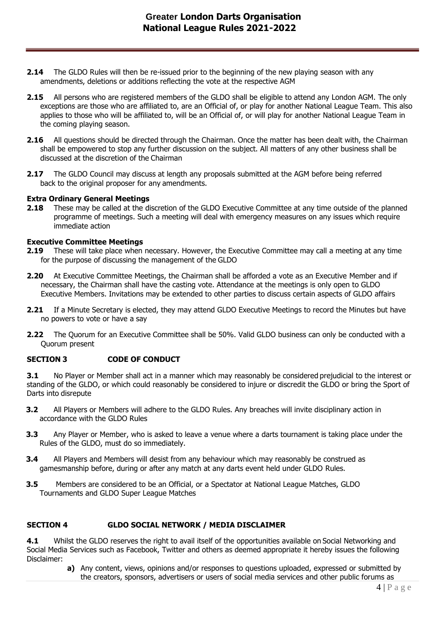- **2.14** The GLDO Rules will then be re-issued prior to the beginning of the new playing season with any amendments, deletions or additions reflecting the vote at the respective AGM
- **2.15** All persons who are registered members of the GLDO shall be eligible to attend any London AGM. The only exceptions are those who are affiliated to, are an Official of, or play for another National League Team. This also applies to those who will be affiliated to, will be an Official of, or will play for another National League Team in the coming playing season.
- **2.16** All questions should be directed through the Chairman. Once the matter has been dealt with, the Chairman shall be empowered to stop any further discussion on the subject. All matters of any other business shall be discussed at the discretion of the Chairman
- **2.17** The GLDO Council may discuss at length any proposals submitted at the AGM before being referred back to the original proposer for any amendments.

#### **Extra Ordinary General Meetings**

**2.18** These may be called at the discretion of the GLDO Executive Committee at any time outside of the planned programme of meetings. Such a meeting will deal with emergency measures on any issues which require immediate action

#### **Executive Committee Meetings**

- **2.19** These will take place when necessary. However, the Executive Committee may call a meeting at any time for the purpose of discussing the management of the GLDO
- **2.20** At Executive Committee Meetings, the Chairman shall be afforded a vote as an Executive Member and if necessary, the Chairman shall have the casting vote. Attendance at the meetings is only open to GLDO Executive Members. Invitations may be extended to other parties to discuss certain aspects of GLDO affairs
- **2.21** If a Minute Secretary is elected, they may attend GLDO Executive Meetings to record the Minutes but have no powers to vote or have a say
- **2.22** The Quorum for an Executive Committee shall be 50%. Valid GLDO business can only be conducted with a Quorum present

### **SECTION 3 CODE OF CONDUCT**

**3.1** No Player or Member shall act in a manner which may reasonably be considered prejudicial to the interest or standing of the GLDO, or which could reasonably be considered to injure or discredit the GLDO or bring the Sport of Darts into disrepute

- **3.2** All Players or Members will adhere to the GLDO Rules. Any breaches will invite disciplinary action in accordance with the GLDO Rules
- **3.3** Any Player or Member, who is asked to leave a venue where a darts tournament is taking place under the Rules of the GLDO, must do so immediately.
- **3.4** All Players and Members will desist from any behaviour which may reasonably be construed as gamesmanship before, during or after any match at any darts event held under GLDO Rules.
- **3.5** Members are considered to be an Official, or a Spectator at National League Matches, GLDO Tournaments and GLDO Super League Matches

#### **SECTION 4 GLDO SOCIAL NETWORK / MEDIA DISCLAIMER**

**4.1** Whilst the GLDO reserves the right to avail itself of the opportunities available on Social Networking and Social Media Services such as Facebook, Twitter and others as deemed appropriate it hereby issues the following Disclaimer:

> **a)** Any content, views, opinions and/or responses to questions uploaded, expressed or submitted by the creators, sponsors, advertisers or users of social media services and other public forums as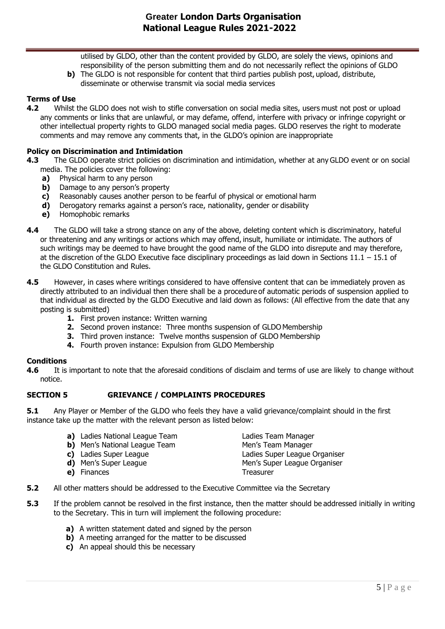utilised by GLDO, other than the content provided by GLDO, are solely the views, opinions and responsibility of the person submitting them and do not necessarily reflect the opinions of GLDO

**b)** The GLDO is not responsible for content that third parties publish post, upload, distribute, disseminate or otherwise transmit via social media services

#### **Terms of Use**

**4.2** Whilst the GLDO does not wish to stifle conversation on social media sites, users must not post or upload any comments or links that are unlawful, or may defame, offend, interfere with privacy or infringe copyright or other intellectual property rights to GLDO managed social media pages. GLDO reserves the right to moderate comments and may remove any comments that, in the GLDO's opinion are inappropriate

#### **Policy on Discrimination and Intimidation**

- **4.3** The GLDO operate strict policies on discrimination and intimidation, whether at any GLDO event or on social media. The policies cover the following:
	- **a)** Physical harm to any person
	- **b)** Damage to any person's property
	- **c)** Reasonably causes another person to be fearful of physical or emotional harm
	- **d)** Derogatory remarks against a person's race, nationality, gender or disability
	- **e)** Homophobic remarks
- **4.4** The GLDO will take a strong stance on any of the above, deleting content which is discriminatory, hateful or threatening and any writings or actions which may offend, insult, humiliate or intimidate. The authors of such writings may be deemed to have brought the good name of the GLDO into disrepute and may therefore, at the discretion of the GLDO Executive face disciplinary proceedings as laid down in Sections 11.1 – 15.1 of the GLDO Constitution and Rules.
- **4.5** However, in cases where writings considered to have offensive content that can be immediately proven as directly attributed to an individual then there shall be a procedure of automatic periods of suspension applied to that individual as directed by the GLDO Executive and laid down as follows: (All effective from the date that any posting is submitted)
	- **1.** First proven instance: Written warning
	- **2.** Second proven instance: Three months suspension of GLDO Membership
	- **3.** Third proven instance: Twelve months suspension of GLDO Membership
	- **4.** Fourth proven instance: Expulsion from GLDO Membership

#### **Conditions**

**4.6** It is important to note that the aforesaid conditions of disclaim and terms of use are likely to change without notice.

#### **SECTION 5 GRIEVANCE / COMPLAINTS PROCEDURES**

**5.1** Any Player or Member of the GLDO who feels they have a valid grievance/complaint should in the first instance take up the matter with the relevant person as listed below:

| a) Ladies National League Team       | Ladies Team Manager           |
|--------------------------------------|-------------------------------|
|                                      |                               |
| <b>b)</b> Men's National League Team | Men's Team Manager            |
| c) Ladies Super League               | Ladies Super League Organiser |
| d) Men's Super League                | Men's Super League Organiser  |
| e) Finances                          | Treasurer                     |
|                                      |                               |

- **5.2** All other matters should be addressed to the Executive Committee via the Secretary
- **5.3** If the problem cannot be resolved in the first instance, then the matter should be addressed initially in writing to the Secretary. This in turn will implement the following procedure:
	- **a)** A written statement dated and signed by the person
	- **b)** A meeting arranged for the matter to be discussed
	- **c)** An appeal should this be necessary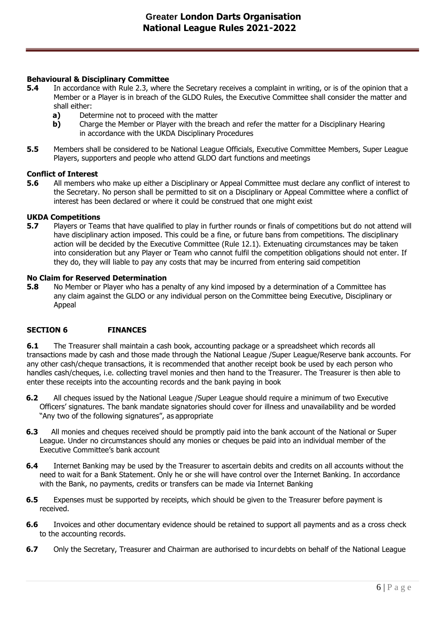#### **Behavioural & Disciplinary Committee**

- **5.4** In accordance with Rule 2.3, where the Secretary receives a complaint in writing, or is of the opinion that a Member or a Player is in breach of the GLDO Rules, the Executive Committee shall consider the matter and shall either:
	- **a)** Determine not to proceed with the matter
	- **b)** Charge the Member or Player with the breach and refer the matter for a Disciplinary Hearing in accordance with the UKDA Disciplinary Procedures
- **5.5** Members shall be considered to be National League Officials, Executive Committee Members, Super League Players, supporters and people who attend GLDO dart functions and meetings

#### **Conflict of Interest**

**5.6** All members who make up either a Disciplinary or Appeal Committee must declare any conflict of interest to the Secretary. No person shall be permitted to sit on a Disciplinary or Appeal Committee where a conflict of interest has been declared or where it could be construed that one might exist

# **UKDA Competitions**

**5.7** Players or Teams that have qualified to play in further rounds or finals of competitions but do not attend will have disciplinary action imposed. This could be a fine, or future bans from competitions. The disciplinary action will be decided by the Executive Committee (Rule 12.1). Extenuating circumstances may be taken into consideration but any Player or Team who cannot fulfil the competition obligations should not enter. If they do, they will liable to pay any costs that may be incurred from entering said competition

#### **No Claim for Reserved Determination**

**5.8** No Member or Player who has a penalty of any kind imposed by a determination of a Committee has any claim against the GLDO or any individual person on the Committee being Executive, Disciplinary or Appeal

### **SECTION 6 FINANCES**

**6.1** The Treasurer shall maintain a cash book, accounting package or a spreadsheet which records all transactions made by cash and those made through the National League /Super League/Reserve bank accounts. For any other cash/cheque transactions, it is recommended that another receipt book be used by each person who handles cash/cheques, i.e. collecting travel monies and then hand to the Treasurer. The Treasurer is then able to enter these receipts into the accounting records and the bank paying in book

- **6.2** All cheques issued by the National League /Super League should require a minimum of two Executive Officers' signatures. The bank mandate signatories should cover for illness and unavailability and be worded "Any two of the following signatures", as appropriate
- **6.3** All monies and cheques received should be promptly paid into the bank account of the National or Super League. Under no circumstances should any monies or cheques be paid into an individual member of the Executive Committee's bank account
- **6.4** Internet Banking may be used by the Treasurer to ascertain debits and credits on all accounts without the need to wait for a Bank Statement. Only he or she will have control over the Internet Banking. In accordance with the Bank, no payments, credits or transfers can be made via Internet Banking
- **6.5** Expenses must be supported by receipts, which should be given to the Treasurer before payment is received.
- **6.6** Invoices and other documentary evidence should be retained to support all payments and as a cross check to the accounting records.
- **6.7** Only the Secretary, Treasurer and Chairman are authorised to incurdebts on behalf of the National League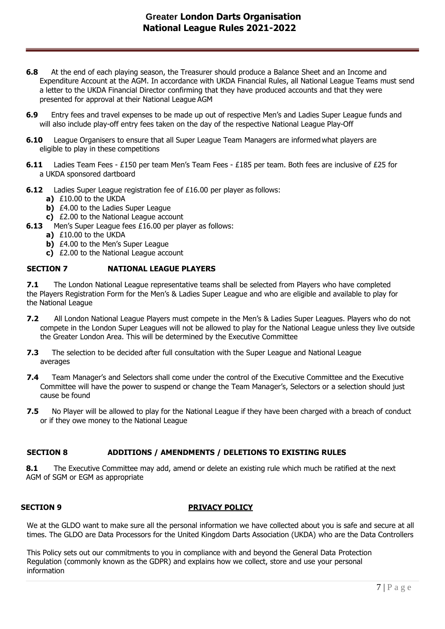# **Greater London Darts Organisation National League Rules 2021-2022**

- **6.8** At the end of each playing season, the Treasurer should produce a Balance Sheet and an Income and Expenditure Account at the AGM. In accordance with UKDA Financial Rules, all National League Teams must send a letter to the UKDA Financial Director confirming that they have produced accounts and that they were presented for approval at their National League AGM
- **6.9** Entry fees and travel expenses to be made up out of respective Men's and Ladies Super League funds and will also include play-off entry fees taken on the day of the respective National League Play-Off
- **6.10** League Organisers to ensure that all Super League Team Managers are informed what players are eligible to play in these competitions
- **6.11** Ladies Team Fees £150 per team Men's Team Fees £185 per team. Both fees are inclusive of £25 for a UKDA sponsored dartboard
- **6.12** Ladies Super League registration fee of £16.00 per player as follows:
	- **a)** £10.00 to the UKDA
	- **b)** £4.00 to the Ladies Super League
	- **c)** £2.00 to the National League account
- **6.13** Men's Super League fees £16.00 per player as follows:
	- **a)** £10.00 to the UKDA
	- **b)** £4.00 to the Men's Super League
	- **c)** £2.00 to the National League account

#### **SECTION 7 NATIONAL LEAGUE PLAYERS**

**7.1** The London National League representative teams shall be selected from Players who have completed the Players Registration Form for the Men's & Ladies Super League and who are eligible and available to play for the National League

- **7.2** All London National League Players must compete in the Men's & Ladies Super Leagues. Players who do not compete in the London Super Leagues will not be allowed to play for the National League unless they live outside the Greater London Area. This will be determined by the Executive Committee
- **7.3** The selection to be decided after full consultation with the Super League and National League averages
- **7.4** Team Manager's and Selectors shall come under the control of the Executive Committee and the Executive Committee will have the power to suspend or change the Team Manager's, Selectors or a selection should just cause be found
- **7.5** No Player will be allowed to play for the National League if they have been charged with a breach of conduct or if they owe money to the National League

#### **SECTION 8 ADDITIONS / AMENDMENTS / DELETIONS TO EXISTING RULES**

**8.1** The Executive Committee may add, amend or delete an existing rule which much be ratified at the next AGM of SGM or EGM as appropriate

#### **SECTION 9 PRIVACY POLICY**

We at the GLDO want to make sure all the personal information we have collected about you is safe and secure at all times. The GLDO are Data Processors for the United Kingdom Darts Association (UKDA) who are the Data Controllers

This Policy sets out our commitments to you in compliance with and beyond the General Data Protection Regulation (commonly known as the GDPR) and explains how we collect, store and use your personal information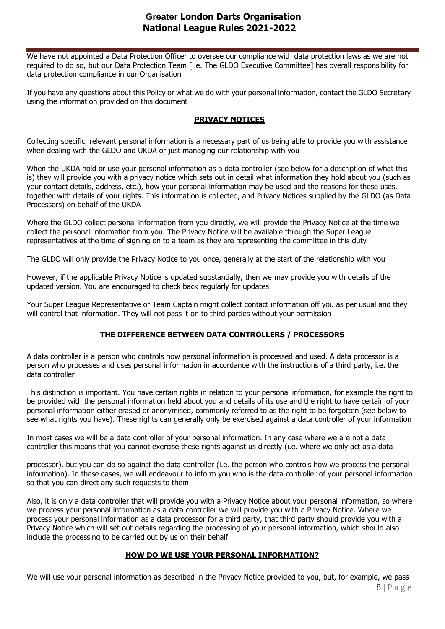## **Greater London Darts Organisation National League Rules 2021-2022**

We have not appointed a Data Protection Officer to oversee our compliance with data protection laws as we are not required to do so, but our Data Protection Team [i.e. The GLDO Executive Committee] has overall responsibility for data protection compliance in our Organisation

If you have any questions about this Policy or what we do with your personal information, contact the GLDO Secretary using the information provided on this document

#### **PRIVACY NOTICES**

Collecting specific, relevant personal information is a necessary part of us being able to provide you with assistance when dealing with the GLDO and UKDA or just managing our relationship with you

When the UKDA hold or use your personal information as a data controller (see below for a description of what this is) they will provide you with a privacy notice which sets out in detail what information they hold about you (such as your contact details, address, etc.), how your personal information may be used and the reasons for these uses, together with details of your rights. This information is collected, and Privacy Notices supplied by the GLDO (as Data Processors) on behalf of the UKDA

Where the GLDO collect personal information from you directly, we will provide the Privacy Notice at the time we collect the personal information from you. The Privacy Notice will be available through the Super League representatives at the time of signing on to a team as they are representing the committee in this duty

The GLDO will only provide the Privacy Notice to you once, generally at the start of the relationship with you

However, if the applicable Privacy Notice is updated substantially, then we may provide you with details of the updated version. You are encouraged to check back regularly for updates

Your Super League Representative or Team Captain might collect contact information off you as per usual and they will control that information. They will not pass it on to third parties without your permission

### **THE DIFFERENCE BETWEEN DATA CONTROLLERS / PROCESSORS**

A data controller is a person who controls how personal information is processed and used. A data processor is a person who processes and uses personal information in accordance with the instructions of a third party, i.e. the data controller

This distinction is important. You have certain rights in relation to your personal information, for example the right to be provided with the personal information held about you and details of its use and the right to have certain of your personal information either erased or anonymised, commonly referred to as the right to be forgotten (see below to see what rights you have). These rights can generally only be exercised against a data controller of your information

In most cases we will be a data controller of your personal information. In any case where we are not a data controller this means that you cannot exercise these rights against us directly (i.e. where we only act as a data

processor), but you can do so against the data controller (i.e. the person who controls how we process the personal information). In these cases, we will endeavour to inform you who is the data controller of your personal information so that you can direct any such requests to them

Also, it is only a data controller that will provide you with a Privacy Notice about your personal information, so where we process your personal information as a data controller we will provide you with a Privacy Notice. Where we process your personal information as a data processor for a third party, that third party should provide you with a Privacy Notice which will set out details regarding the processing of your personal information, which should also include the processing to be carried out by us on their behalf

### **HOW DO WE USE YOUR PERSONAL INFORMATION?**

We will use your personal information as described in the Privacy Notice provided to you, but, for example, we pass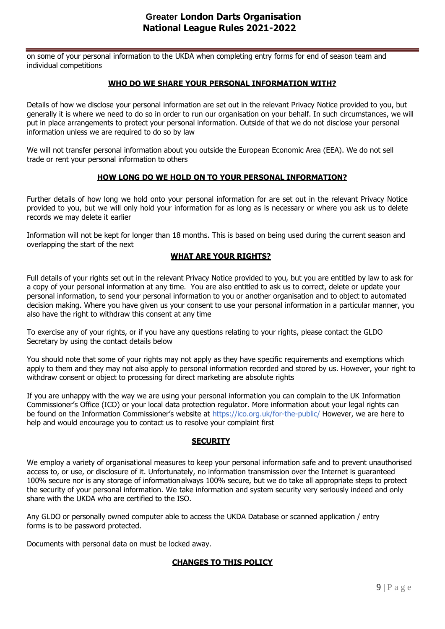on some of your personal information to the UKDA when completing entry forms for end of season team and individual competitions

#### **WHO DO WE SHARE YOUR PERSONAL INFORMATION WITH?**

Details of how we disclose your personal information are set out in the relevant Privacy Notice provided to you, but generally it is where we need to do so in order to run our organisation on your behalf. In such circumstances, we will put in place arrangements to protect your personal information. Outside of that we do not disclose your personal information unless we are required to do so by law

We will not transfer personal information about you outside the European Economic Area (EEA). We do not sell trade or rent your personal information to others

#### **HOW LONG DO WE HOLD ON TO YOUR PERSONAL INFORMATION?**

Further details of how long we hold onto your personal information for are set out in the relevant Privacy Notice provided to you, but we will only hold your information for as long as is necessary or where you ask us to delete records we may delete it earlier

Information will not be kept for longer than 18 months. This is based on being used during the current season and overlapping the start of the next

#### **WHAT ARE YOUR RIGHTS?**

Full details of your rights set out in the relevant Privacy Notice provided to you, but you are entitled by law to ask for a copy of your personal information at any time. You are also entitled to ask us to correct, delete or update your personal information, to send your personal information to you or another organisation and to object to automated decision making. Where you have given us your consent to use your personal information in a particular manner, you also have the right to withdraw this consent at any time

To exercise any of your rights, or if you have any questions relating to your rights, please contact the GLDO Secretary by using the contact details below

You should note that some of your rights may not apply as they have specific requirements and exemptions which apply to them and they may not also apply to personal information recorded and stored by us. However, your right to withdraw consent or object to processing for direct marketing are absolute rights

If you are unhappy with the way we are using your personal information you can complain to the UK Information Commissioner's Office (ICO) or your local data protection regulator. More information about your legal rights can be found on the Information Commissioner's website at <https://ico.org.uk/for-the-public/> However, we are here to help and would encourage you to contact us to resolve your complaint first

#### **SECURITY**

We employ a variety of organisational measures to keep your personal information safe and to prevent unauthorised access to, or use, or disclosure of it. Unfortunately, no information transmission over the Internet is guaranteed 100% secure nor is any storage of informationalways 100% secure, but we do take all appropriate steps to protect the security of your personal information. We take information and system security very seriously indeed and only share with the UKDA who are certified to the ISO.

Any GLDO or personally owned computer able to access the UKDA Database or scanned application / entry forms is to be password protected.

Documents with personal data on must be locked away.

### **CHANGES TO THIS POLICY**